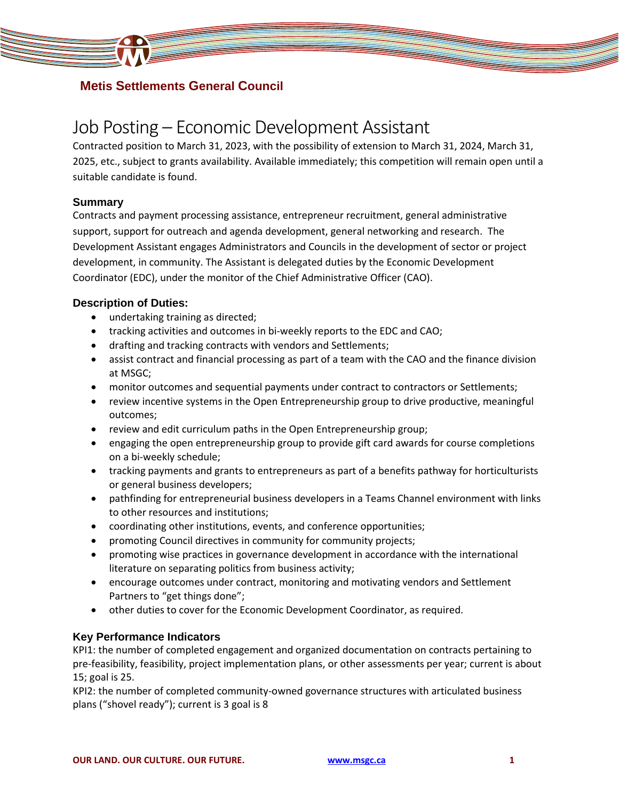

# **Metis Settlements General Council**

# Job Posting – Economic Development Assistant

Contracted position to March 31, 2023, with the possibility of extension to March 31, 2024, March 31, 2025, etc., subject to grants availability. Available immediately; this competition will remain open until a suitable candidate is found.

### **Summary**

Contracts and payment processing assistance, entrepreneur recruitment, general administrative support, support for outreach and agenda development, general networking and research. The Development Assistant engages Administrators and Councils in the development of sector or project development, in community. The Assistant is delegated duties by the Economic Development Coordinator (EDC), under the monitor of the Chief Administrative Officer (CAO).

## **Description of Duties:**

- undertaking training as directed;
- tracking activities and outcomes in bi-weekly reports to the EDC and CAO;
- drafting and tracking contracts with vendors and Settlements;
- assist contract and financial processing as part of a team with the CAO and the finance division at MSGC;
- monitor outcomes and sequential payments under contract to contractors or Settlements;
- review incentive systems in the Open Entrepreneurship group to drive productive, meaningful outcomes;
- review and edit curriculum paths in the Open Entrepreneurship group;
- engaging the open entrepreneurship group to provide gift card awards for course completions on a bi-weekly schedule;
- tracking payments and grants to entrepreneurs as part of a benefits pathway for horticulturists or general business developers;
- pathfinding for entrepreneurial business developers in a Teams Channel environment with links to other resources and institutions;
- coordinating other institutions, events, and conference opportunities;
- promoting Council directives in community for community projects;
- promoting wise practices in governance development in accordance with the international literature on separating politics from business activity;
- encourage outcomes under contract, monitoring and motivating vendors and Settlement Partners to "get things done";
- other duties to cover for the Economic Development Coordinator, as required.

## **Key Performance Indicators**

KPI1: the number of completed engagement and organized documentation on contracts pertaining to pre-feasibility, feasibility, project implementation plans, or other assessments per year; current is about 15; goal is 25.

KPI2: the number of completed community-owned governance structures with articulated business plans ("shovel ready"); current is 3 goal is 8